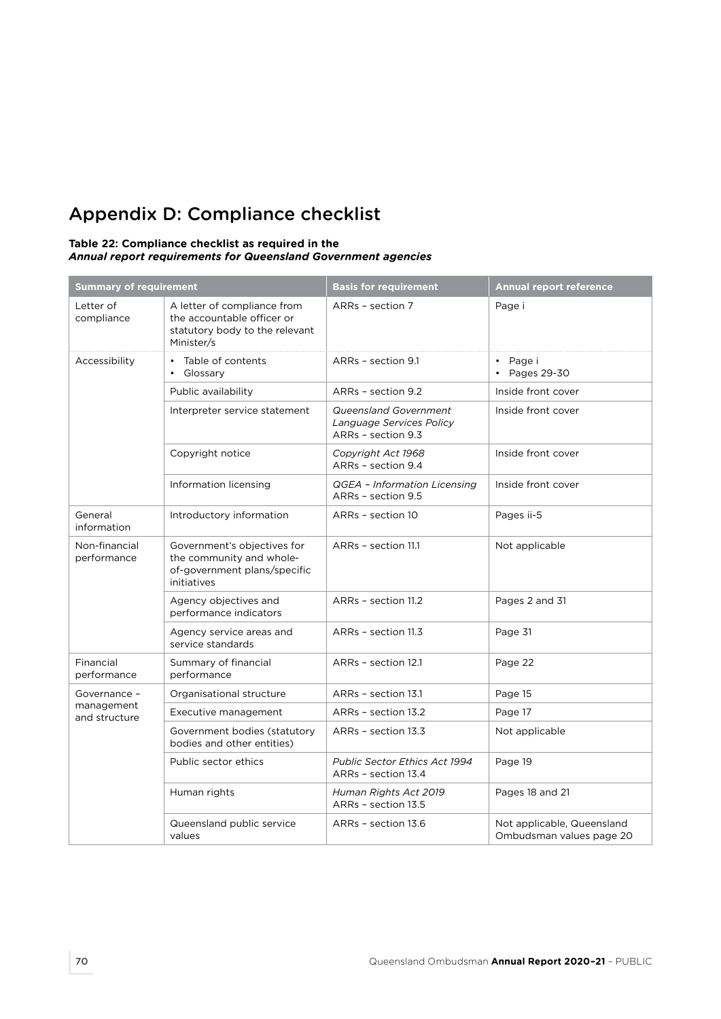## Appendix D: Compliance checklist

## **Table 22: Compliance checklist as required in the**  *Annual report requirements for Queensland Government agencies*

| <b>Summary of requirement</b>               |                                                                                                           | <b>Basis for requirement</b>                                            | <b>Annual report reference</b>                         |
|---------------------------------------------|-----------------------------------------------------------------------------------------------------------|-------------------------------------------------------------------------|--------------------------------------------------------|
| Letter of<br>compliance                     | A letter of compliance from<br>the accountable officer or<br>statutory body to the relevant<br>Minister/s | ARRs - section 7                                                        | Page i                                                 |
| Accessibility                               | Table of contents<br>$\bullet$<br>Glossary<br>$\bullet$                                                   | ARRs - section 9.1                                                      | Page i<br>$\bullet$<br>$\cdot$ Pages 29-30             |
|                                             | Public availability                                                                                       | ARRs - section 9.2                                                      | Inside front cover                                     |
|                                             | Interpreter service statement                                                                             | Queensland Government<br>Language Services Policy<br>ARRs - section 9.3 | Inside front cover                                     |
|                                             | Copyright notice                                                                                          | Copyright Act 1968<br>ARRs - section 9.4                                | Inside front cover                                     |
|                                             | Information licensing                                                                                     | QGEA - Information Licensing<br>ARRs - section 9.5                      | Inside front cover                                     |
| General<br>information                      | Introductory information                                                                                  | ARRs - section 10                                                       | Pages ii-5                                             |
| Non-financial<br>performance                | Government's objectives for<br>the community and whole-<br>of-government plans/specific<br>initiatives    | ARRs - section 11.1                                                     | Not applicable                                         |
|                                             | Agency objectives and<br>performance indicators                                                           | ARRs - section 11.2                                                     | Pages 2 and 31                                         |
|                                             | Agency service areas and<br>service standards                                                             | ARRs - section 11.3                                                     | Page 31                                                |
| Financial<br>performance                    | Summary of financial<br>performance                                                                       | ARRs - section 12.1                                                     | Page 22                                                |
| Governance -<br>management<br>and structure | Organisational structure                                                                                  | ARRs - section 13.1                                                     | Page 15                                                |
|                                             | Executive management                                                                                      | ARRs - section 13.2                                                     | Page 17                                                |
|                                             | Government bodies (statutory<br>bodies and other entities)                                                | ARRs - section 13.3                                                     | Not applicable                                         |
|                                             | Public sector ethics                                                                                      | <b>Public Sector Ethics Act 1994</b><br>ARRs - section 13.4             | Page 19                                                |
|                                             | Human rights                                                                                              | Human Rights Act 2019<br>ARRs - section 13.5                            | Pages 18 and 21                                        |
|                                             | Queensland public service<br>values                                                                       | ARRs - section 13.6                                                     | Not applicable, Queensland<br>Ombudsman values page 20 |